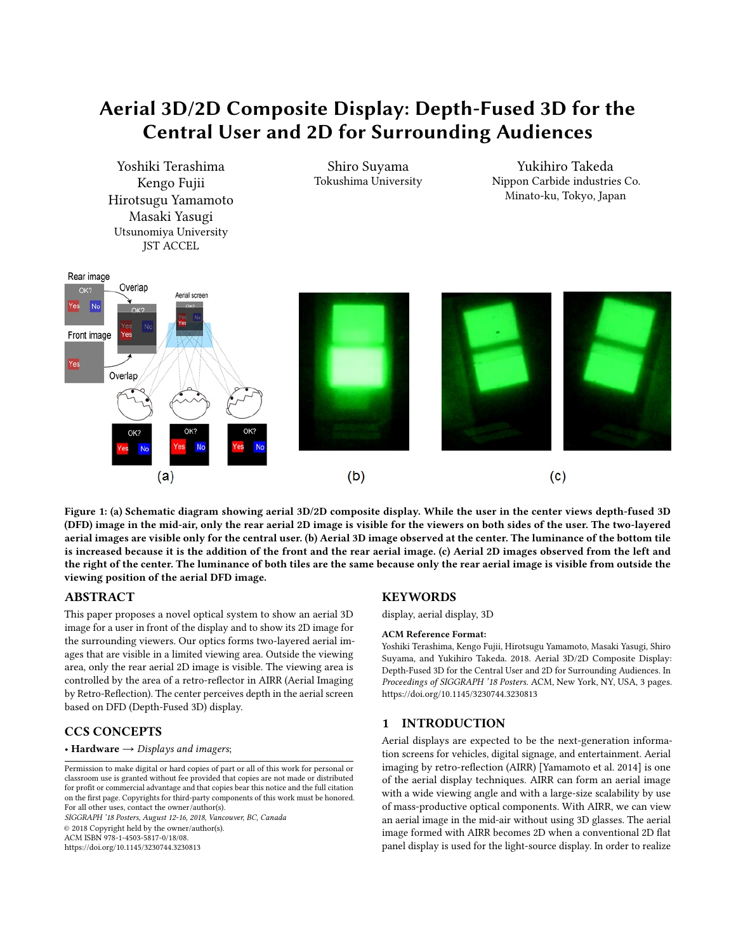# Aerial 3D/2D Composite Display: Depth-Fused 3D for the Central User and 2D for Surrounding Audiences

<span id="page-0-0"></span>

Figure 1: (a) Schematic diagram showing aerial 3D/2D composite display. While the user in the center views depth-fused 3D (DFD) image in the mid-air, only the rear aerial 2D image is visible for the viewers on both sides of the user. The two-layered aerial images are visible only for the central user. (b) Aerial 3D image observed at the center. The luminance of the bottom tile is increased because it is the addition of the front and the rear aerial image. (c) Aerial 2D images observed from the left and the right of the center. The luminance of both tiles are the same because only the rear aerial image is visible from outside the viewing position of the aerial DFD image.

## ABSTRACT

This paper proposes a novel optical system to show an aerial 3D image for a user in front of the display and to show its 2D image for the surrounding viewers. Our optics forms two-layered aerial images that are visible in a limited viewing area. Outside the viewing area, only the rear aerial 2D image is visible. The viewing area is controlled by the area of a retro-reflector in AIRR (Aerial Imaging by Retro-Reflection). The center perceives depth in the aerial screen based on DFD (Depth-Fused 3D) display.

## CCS CONCEPTS

## • Hardware  $\rightarrow$  Displays and imagers;

SIGGRAPH '18 Posters, August 12-16, 2018, Vancouver, BC, Canada © 2018 Copyright held by the owner/author(s). ACM ISBN 978-1-4503-5817-0/18/08. <https://doi.org/10.1145/3230744.3230813>

## **KEYWORDS**

#### display, aerial display, 3D

#### ACM Reference Format:

Yoshiki Terashima, Kengo Fujii, Hirotsugu Yamamoto, Masaki Yasugi, Shiro Suyama, and Yukihiro Takeda. 2018. Aerial 3D/2D Composite Display: Depth-Fused 3D for the Central User and 2D for Surrounding Audiences. In Proceedings of SIGGRAPH '18 Posters. ACM, New York, NY, USA, 3 pages. <https://doi.org/10.1145/3230744.3230813>

## 1 INTRODUCTION

Aerial displays are expected to be the next-generation information screens for vehicles, digital signage, and entertainment. Aerial imaging by retro-reflection (AIRR) [\[Yamamoto et al.](#page-1-0) [2014\]](#page-1-0) is one of the aerial display techniques. AIRR can form an aerial image with a wide viewing angle and with a large-size scalability by use of mass-productive optical components. With AIRR, we can view an aerial image in the mid-air without using 3D glasses. The aerial image formed with AIRR becomes 2D when a conventional 2D flat panel display is used for the light-source display. In order to realize

Permission to make digital or hard copies of part or all of this work for personal or classroom use is granted without fee provided that copies are not made or distributed for profit or commercial advantage and that copies bear this notice and the full citation on the first page. Copyrights for third-party components of this work must be honored. For all other uses, contact the owner/author(s).